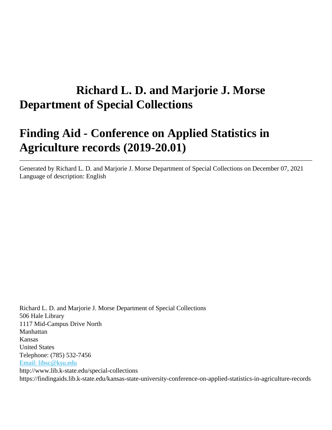# **Richard L. D. and Marjorie J. Morse Department of Special Collections**

# **Finding Aid - Conference on Applied Statistics in Agriculture records (2019-20.01)**

Generated by Richard L. D. and Marjorie J. Morse Department of Special Collections on December 07, 2021 Language of description: English

Richard L. D. and Marjorie J. Morse Department of Special Collections 506 Hale Library 1117 Mid-Campus Drive North Manhattan Kansas United States Telephone: (785) 532-7456 [Email: libsc@ksu.edu](mailto:Email:%20libsc@ksu.edu) http://www.lib.k-state.edu/special-collections https://findingaids.lib.k-state.edu/kansas-state-university-conference-on-applied-statistics-in-agriculture-records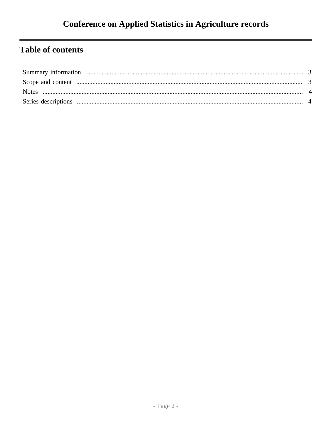# **Table of contents**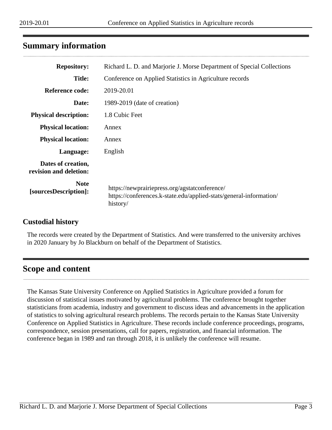## <span id="page-2-0"></span>**Summary information**

| <b>Repository:</b>                                                                                                                                                      | Richard L. D. and Marjorie J. Morse Department of Special Collections |  |  |  |  |
|-------------------------------------------------------------------------------------------------------------------------------------------------------------------------|-----------------------------------------------------------------------|--|--|--|--|
| <b>Title:</b>                                                                                                                                                           | Conference on Applied Statistics in Agriculture records               |  |  |  |  |
| <b>Reference code:</b><br>2019-20.01                                                                                                                                    |                                                                       |  |  |  |  |
| Date:                                                                                                                                                                   | 1989-2019 (date of creation)                                          |  |  |  |  |
| <b>Physical description:</b>                                                                                                                                            | 1.8 Cubic Feet                                                        |  |  |  |  |
| <b>Physical location:</b><br>Annex                                                                                                                                      |                                                                       |  |  |  |  |
| <b>Physical location:</b><br>Annex                                                                                                                                      |                                                                       |  |  |  |  |
| Language:                                                                                                                                                               | English                                                               |  |  |  |  |
| Dates of creation,<br>revision and deletion:                                                                                                                            |                                                                       |  |  |  |  |
| <b>Note</b><br>https://newprairiepress.org/agstatconference/<br>[sourcesDescription]:<br>https://conferences.k-state.edu/applied-stats/general-information/<br>history/ |                                                                       |  |  |  |  |

#### **Custodial history**

The records were created by the Department of Statistics. And were transferred to the university archives in 2020 January by Jo Blackburn on behalf of the Department of Statistics.

## <span id="page-2-1"></span>**Scope and content**

The Kansas State University Conference on Applied Statistics in Agriculture provided a forum for discussion of statistical issues motivated by agricultural problems. The conference brought together statisticians from academia, industry and government to discuss ideas and advancements in the application of statistics to solving agricultural research problems. The records pertain to the Kansas State University Conference on Applied Statistics in Agriculture. These records include conference proceedings, programs, correspondence, session presentations, call for papers, registration, and financial information. The conference began in 1989 and ran through 2018, it is unlikely the conference will resume.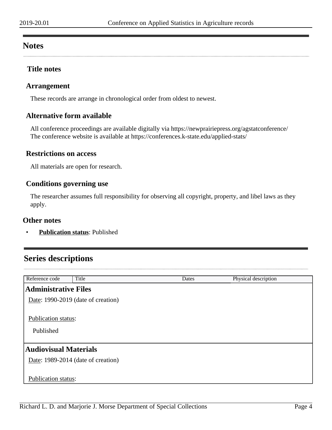## <span id="page-3-0"></span>**Notes**

### **Title notes**

#### **Arrangement**

These records are arrange in chronological order from oldest to newest.

### **Alternative form available**

All conference proceedings are available digitally via https://newprairiepress.org/agstatconference/ The conference website is available at https://conferences.k-state.edu/applied-stats/

#### **Restrictions on access**

All materials are open for research.

#### **Conditions governing use**

The researcher assumes full responsibility for observing all copyright, property, and libel laws as they apply.

#### **Other notes**

• **Publication status**: Published

# <span id="page-3-1"></span>**Series descriptions**

| Reference code                          | Title | Dates | Physical description |  |  |  |
|-----------------------------------------|-------|-------|----------------------|--|--|--|
| <b>Administrative Files</b>             |       |       |                      |  |  |  |
| Date: 1990-2019 (date of creation)      |       |       |                      |  |  |  |
| <b>Publication status:</b><br>Published |       |       |                      |  |  |  |
| <b>Audiovisual Materials</b>            |       |       |                      |  |  |  |
| Date: 1989-2014 (date of creation)      |       |       |                      |  |  |  |
| Publication status:                     |       |       |                      |  |  |  |